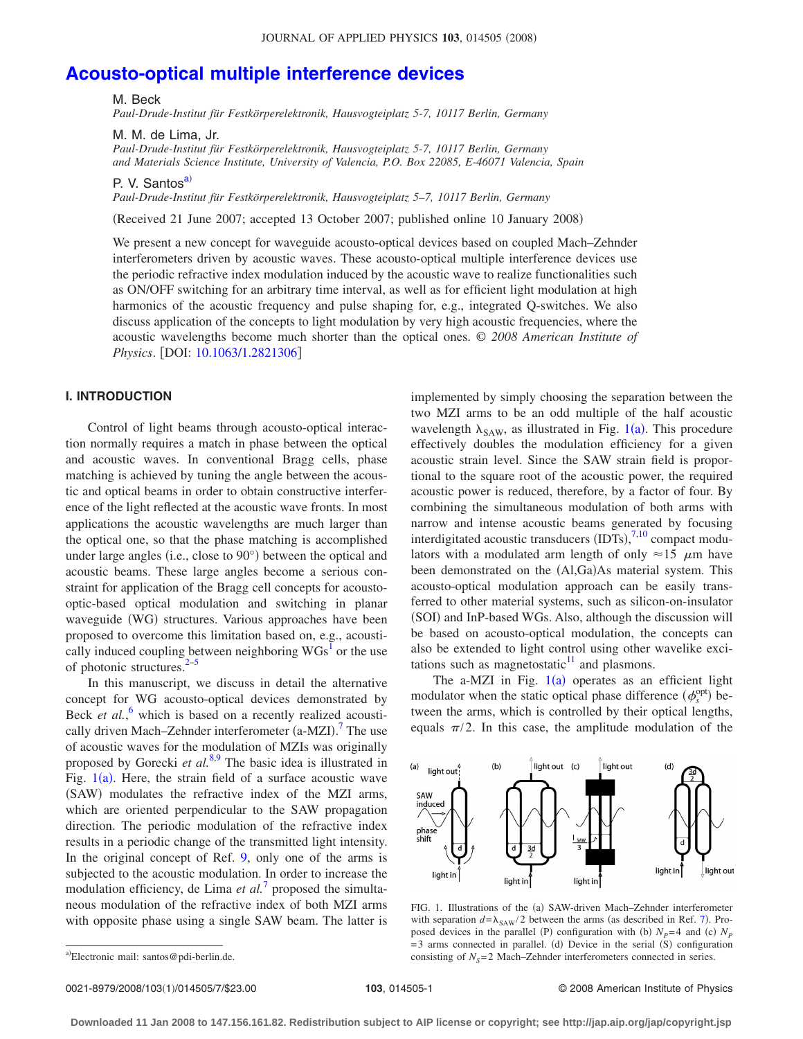# **[Acousto-optical multiple interference devices](http://dx.doi.org/10.1063/1.2821306)**

M. Beck

*Paul-Drude-Institut für Festkörperelektronik, Hausvogteiplatz 5-7, 10117 Berlin, Germany*

M. M. de Lima, Jr.

*Paul-Drude-Institut für Festkörperelektronik, Hausvogteiplatz 5-7, 10117 Berlin, Germany and Materials Science Institute, University of Valencia, P.O. Box 22085, E-46071 Valencia, Spain*

P. V. Santos<sup>a)</sup>

*Paul-Drude-Institut für Festkörperelektronik, Hausvogteiplatz 5–7, 10117 Berlin, Germany*

Received 21 June 2007; accepted 13 October 2007; published online 10 January 2008-

We present a new concept for waveguide acousto-optical devices based on coupled Mach–Zehnder interferometers driven by acoustic waves. These acousto-optical multiple interference devices use the periodic refractive index modulation induced by the acoustic wave to realize functionalities such as ON/OFF switching for an arbitrary time interval, as well as for efficient light modulation at high harmonics of the acoustic frequency and pulse shaping for, e.g., integrated Q-switches. We also discuss application of the concepts to light modulation by very high acoustic frequencies, where the acoustic wavelengths become much shorter than the optical ones. © *2008 American Institute of Physics*. [DOI: [10.1063/1.2821306](http://dx.doi.org/10.1063/1.2821306)]

# **I. INTRODUCTION**

Control of light beams through acousto-optical interaction normally requires a match in phase between the optical and acoustic waves. In conventional Bragg cells, phase matching is achieved by tuning the angle between the acoustic and optical beams in order to obtain constructive interference of the light reflected at the acoustic wave fronts. In most applications the acoustic wavelengths are much larger than the optical one, so that the phase matching is accomplished under large angles (i.e., close to 90°) between the optical and acoustic beams. These large angles become a serious constraint for application of the Bragg cell concepts for acoustooptic-based optical modulation and switching in planar waveguide (WG) structures. Various approaches have been proposed to overcome this limitation based on, e.g., acoustically induced coupling between neighboring  $WGs<sup>1</sup>$  or the use of photonic structures. $2-5$  $2-5$ 

In this manuscript, we discuss in detail the alternative concept for WG acousto-optical devices demonstrated by Beck *et al.*,<sup>[6](#page-5-3)</sup> which is based on a recently realized acousti-cally driven Mach–Zehnder interferometer (a-MZI).<sup>[7](#page-5-4)</sup> The use of acoustic waves for the modulation of MZIs was originally proposed by Gorecki *et al.*[8](#page-5-5)[,9](#page-5-6) The basic idea is illustrated in Fig.  $1(a)$  $1(a)$ . Here, the strain field of a surface acoustic wave (SAW) modulates the refractive index of the MZI arms, which are oriented perpendicular to the SAW propagation direction. The periodic modulation of the refractive index results in a periodic change of the transmitted light intensity. In the original concept of Ref. [9,](#page-5-6) only one of the arms is subjected to the acoustic modulation. In order to increase the modulation efficiency, de Lima *et al.*<sup>[7](#page-5-4)</sup> proposed the simultaneous modulation of the refractive index of both MZI arms with opposite phase using a single SAW beam. The latter is implemented by simply choosing the separation between the two MZI arms to be an odd multiple of the half acoustic wavelength  $\lambda_{SAW}$ , as illustrated in Fig. [1](#page-0-1)(a). This procedure effectively doubles the modulation efficiency for a given acoustic strain level. Since the SAW strain field is proportional to the square root of the acoustic power, the required acoustic power is reduced, therefore, by a factor of four. By combining the simultaneous modulation of both arms with narrow and intense acoustic beams generated by focusing interdigitated acoustic transducers  $(DTS),$ <sup>[7](#page-5-4)[,10](#page-5-7)</sup> compact modulators with a modulated arm length of only  $\approx 15 \mu m$  have been demonstrated on the (Al,Ga)As material system. This acousto-optical modulation approach can be easily transferred to other material systems, such as silicon-on-insulator (SOI) and InP-based WGs. Also, although the discussion will be based on acousto-optical modulation, the concepts can also be extended to light control using other wavelike excitations such as magnetostatic $11$  and plasmons.

The a-MZI in Fig.  $1(a)$  $1(a)$  operates as an efficient light modulator when the static optical phase difference  $(\phi_s^{\text{opt}})$  between the arms, which is controlled by their optical lengths, equals  $\pi/2$ . In this case, the amplitude modulation of the

<span id="page-0-1"></span>

FIG. 1. Illustrations of the (a) SAW-driven Mach-Zehnder interferometer with separation  $d = \lambda_{SAW}/2$  between the arms (as described in Ref. [7](#page-5-4)). Proposed devices in the parallel (P) configuration with (b)  $N_p=4$  and (c)  $N_p$ =3 arms connected in parallel. (d) Device in the serial (S) configuration consisting of  $N_s$ =2 Mach–Zehnder interferometers connected in series.

0021-8979/2008/103(1)/014505/7/\$23.00

103, 014505-1 **2008 American Institute of Physics** © 2008 American Institute of Physics

<span id="page-0-0"></span>a)Electronic mail: santos@pdi-berlin.de.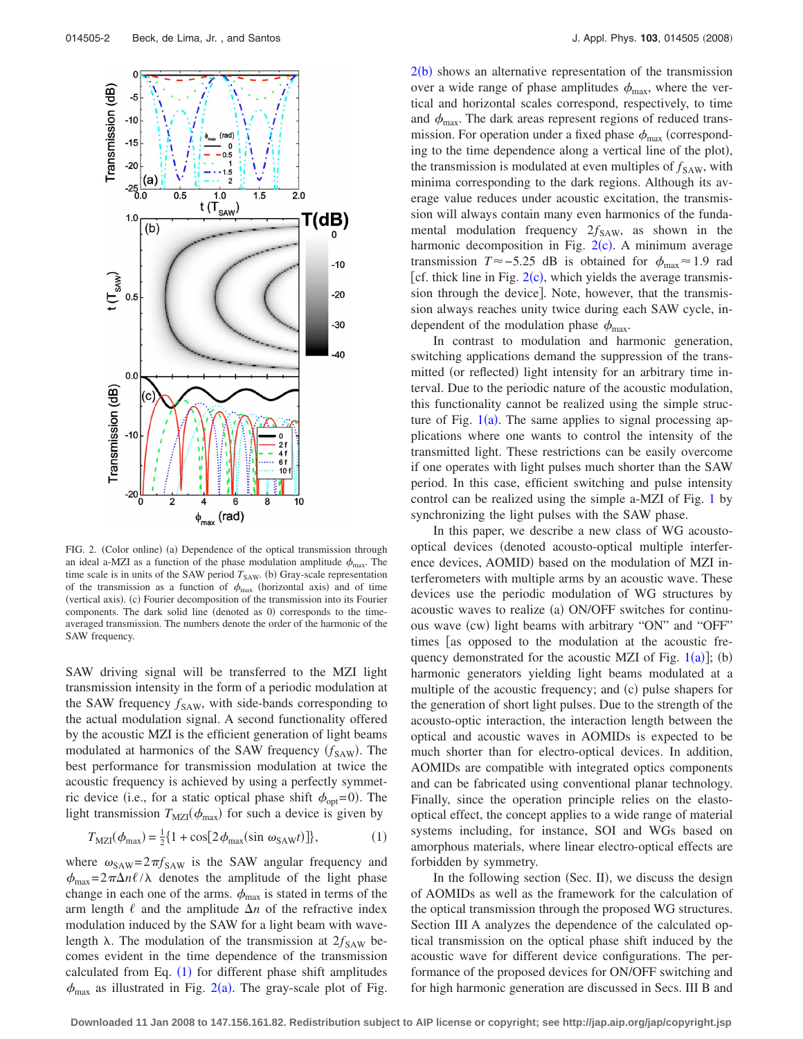<span id="page-1-1"></span>

FIG. 2. (Color online) (a) Dependence of the optical transmission through an ideal a-MZI as a function of the phase modulation amplitude  $\phi_{\text{max}}$ . The time scale is in units of the SAW period  $T_{SAW}$ . (b) Gray-scale representation of the transmission as a function of  $\phi_{\text{max}}$  (horizontal axis) and of time (vertical axis). (c) Fourier decomposition of the transmission into its Fourier components. The dark solid line (denoted as 0) corresponds to the timeaveraged transmission. The numbers denote the order of the harmonic of the SAW frequency.

SAW driving signal will be transferred to the MZI light transmission intensity in the form of a periodic modulation at the SAW frequency  $f_{SAW}$ , with side-bands corresponding to the actual modulation signal. A second functionality offered by the acoustic MZI is the efficient generation of light beams modulated at harmonics of the SAW frequency ( $f_{\text{SAW}}$ ). The best performance for transmission modulation at twice the acoustic frequency is achieved by using a perfectly symmetric device (i.e., for a static optical phase shift  $\phi_{opt} = 0$ ). The light transmission  $T_{\text{MZI}}(\phi_{\text{max}})$  for such a device is given by

$$
T_{\text{MZI}}(\phi_{\text{max}}) = \frac{1}{2} \{ 1 + \cos[2\phi_{\text{max}}(\sin \omega_{\text{SAW}}t)] \},\tag{1}
$$

<span id="page-1-0"></span>where  $\omega_{SAW} = 2\pi f_{SAW}$  is the SAW angular frequency and  $\phi_{\text{max}} = 2\pi\Delta n\ell/\lambda$  denotes the amplitude of the light phase change in each one of the arms.  $\phi_{\text{max}}$  is stated in terms of the arm length  $\ell$  and the amplitude  $\Delta n$  of the refractive index modulation induced by the SAW for a light beam with wavelength  $\lambda$ . The modulation of the transmission at  $2f_{SAW}$  becomes evident in the time dependence of the transmission calculated from Eq.  $(1)$  $(1)$  $(1)$  for different phase shift amplitudes  $\phi_{\text{max}}$  as illustrated in Fig. [2](#page-1-1)(a). The gray-scale plot of Fig.

 $2(b)$  $2(b)$  shows an alternative representation of the transmission over a wide range of phase amplitudes  $\phi_{\text{max}}$ , where the vertical and horizontal scales correspond, respectively, to time and  $\phi_{\text{max}}$ . The dark areas represent regions of reduced transmission. For operation under a fixed phase  $\phi_{\text{max}}$  (corresponding to the time dependence along a vertical line of the plot), the transmission is modulated at even multiples of  $f_{SAW}$ , with minima corresponding to the dark regions. Although its average value reduces under acoustic excitation, the transmission will always contain many even harmonics of the fundamental modulation frequency  $2f_{SAW}$ , as shown in the harmonic decomposition in Fig.  $2(c)$  $2(c)$ . A minimum average transmission *T*≈−5.25 dB is obtained for  $\phi_{\text{max}}$ ≈1.9 rad [cf. thick line in Fig.  $2(c)$  $2(c)$ , which yields the average transmission through the device. Note, however, that the transmission always reaches unity twice during each SAW cycle, independent of the modulation phase  $\phi_{\text{max}}$ .

In contrast to modulation and harmonic generation, switching applications demand the suppression of the transmitted (or reflected) light intensity for an arbitrary time interval. Due to the periodic nature of the acoustic modulation, this functionality cannot be realized using the simple structure of Fig.  $1(a)$  $1(a)$ . The same applies to signal processing applications where one wants to control the intensity of the transmitted light. These restrictions can be easily overcome if one operates with light pulses much shorter than the SAW period. In this case, efficient switching and pulse intensity control can be realized using the simple a-MZI of Fig. [1](#page-0-1) by synchronizing the light pulses with the SAW phase.

In this paper, we describe a new class of WG acoustooptical devices denoted acousto-optical multiple interference devices, AOMID) based on the modulation of MZI interferometers with multiple arms by an acoustic wave. These devices use the periodic modulation of WG structures by acoustic waves to realize (a) ON/OFF switches for continuous wave (cw) light beams with arbitrary "ON" and "OFF" times [as opposed to the modulation at the acoustic frequency demonstrated for the acoustic MZI of Fig.  $1(a)$  $1(a)$ ]; (b) harmonic generators yielding light beams modulated at a multiple of the acoustic frequency; and (c) pulse shapers for the generation of short light pulses. Due to the strength of the acousto-optic interaction, the interaction length between the optical and acoustic waves in AOMIDs is expected to be much shorter than for electro-optical devices. In addition, AOMIDs are compatible with integrated optics components and can be fabricated using conventional planar technology. Finally, since the operation principle relies on the elastooptical effect, the concept applies to a wide range of material systems including, for instance, SOI and WGs based on amorphous materials, where linear electro-optical effects are forbidden by symmetry.

In the following section (Sec. II), we discuss the design of AOMIDs as well as the framework for the calculation of the optical transmission through the proposed WG structures. Section III A analyzes the dependence of the calculated optical transmission on the optical phase shift induced by the acoustic wave for different device configurations. The performance of the proposed devices for ON/OFF switching and for high harmonic generation are discussed in Secs. III B and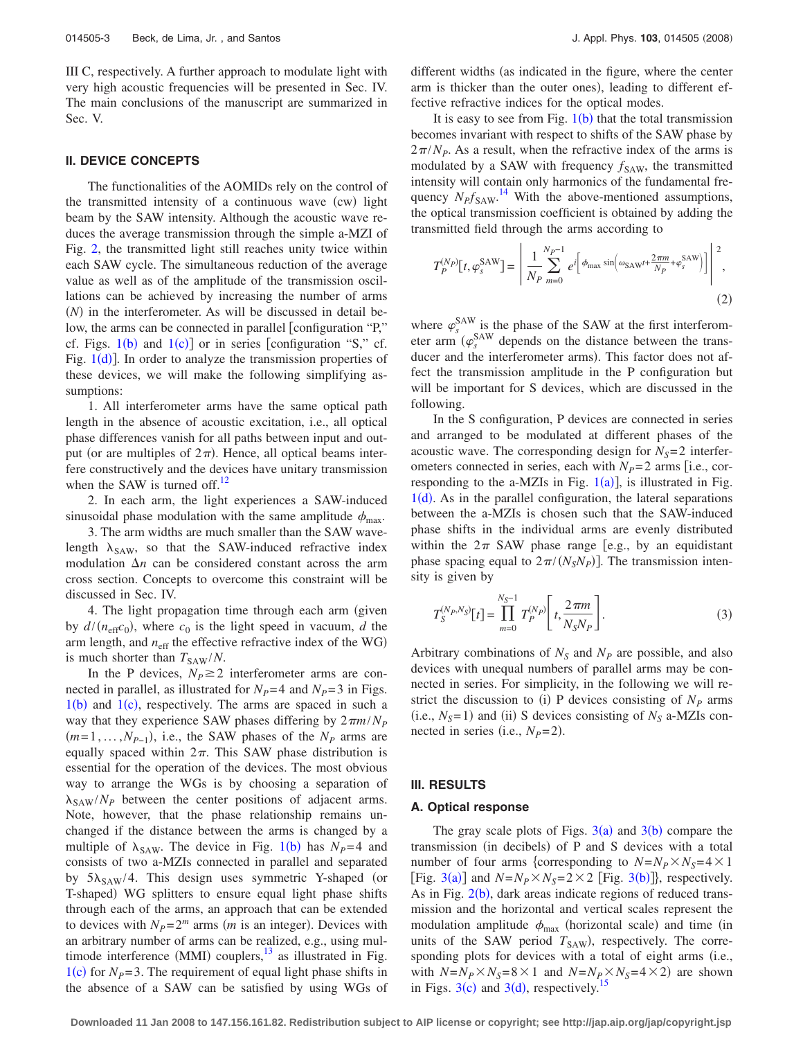III C, respectively. A further approach to modulate light with very high acoustic frequencies will be presented in Sec. IV. The main conclusions of the manuscript are summarized in Sec. V.

## **II. DEVICE CONCEPTS**

The functionalities of the AOMIDs rely on the control of the transmitted intensity of a continuous wave (cw) light beam by the SAW intensity. Although the acoustic wave reduces the average transmission through the simple a-MZI of Fig. [2,](#page-1-1) the transmitted light still reaches unity twice within each SAW cycle. The simultaneous reduction of the average value as well as of the amplitude of the transmission oscillations can be achieved by increasing the number of arms  $(N)$  in the interferometer. As will be discussed in detail below, the arms can be connected in parallel configuration "P," cf. Figs.  $1(b)$  $1(b)$  and  $1(c)$ ] or in series [configuration "S," cf. Fig.  $1(d)$  $1(d)$ ]. In order to analyze the transmission properties of these devices, we will make the following simplifying assumptions:

1. All interferometer arms have the same optical path length in the absence of acoustic excitation, i.e., all optical phase differences vanish for all paths between input and output (or are multiples of  $2\pi$ ). Hence, all optical beams interfere constructively and the devices have unitary transmission when the SAW is turned off. $12$ 

2. In each arm, the light experiences a SAW-induced sinusoidal phase modulation with the same amplitude  $\phi_{\text{max}}$ .

3. The arm widths are much smaller than the SAW wavelength  $\lambda_{SAW}$ , so that the SAW-induced refractive index modulation  $\Delta n$  can be considered constant across the arm cross section. Concepts to overcome this constraint will be discussed in Sec. IV.

4. The light propagation time through each arm (given by  $d/(n_{\text{eff}}c_0)$ , where  $c_0$  is the light speed in vacuum, *d* the arm length, and  $n_{\text{eff}}$  the effective refractive index of the WG) is much shorter than  $T_{\text{SAW}}/N$ .

In the P devices,  $N_P \geq 2$  interferometer arms are connected in parallel, as illustrated for  $N_P=4$  and  $N_P=3$  in Figs.  $1(b)$  $1(b)$  and  $1(c)$ , respectively. The arms are spaced in such a way that they experience SAW phases differing by  $2\pi m/N_p$  $(m=1,\ldots,N_{P-1})$ , i.e., the SAW phases of the  $N_P$  arms are equally spaced within  $2\pi$ . This SAW phase distribution is essential for the operation of the devices. The most obvious way to arrange the WGs is by choosing a separation of  $\lambda_{\text{SAW}}/N_P$  between the center positions of adjacent arms. Note, however, that the phase relationship remains unchanged if the distance between the arms is changed by a multiple of  $\lambda_{SAW}$ . The device in Fig. [1](#page-0-1)(b) has  $N_P$ =4 and consists of two a-MZIs connected in parallel and separated by  $5\lambda_{SAW}/4$ . This design uses symmetric Y-shaped (or T-shaped) WG splitters to ensure equal light phase shifts through each of the arms, an approach that can be extended to devices with  $N_P = 2^m$  arms (*m* is an integer). Devices with an arbitrary number of arms can be realized, e.g., using multimode interference (MMI) couplers, $^{13}$  as illustrated in Fig.  $1(c)$  $1(c)$  for *N<sub>P</sub>*=3. The requirement of equal light phase shifts in the absence of a SAW can be satisfied by using WGs of different widths (as indicated in the figure, where the center arm is thicker than the outer ones), leading to different effective refractive indices for the optical modes.

It is easy to see from Fig.  $1(b)$  $1(b)$  that the total transmission becomes invariant with respect to shifts of the SAW phase by  $2\pi/N_P$ . As a result, when the refractive index of the arms is modulated by a SAW with frequency  $f_{SAW}$ , the transmitted intensity will contain only harmonics of the fundamental frequency  $N_P f_{SAW}$ .<sup>[14](#page-6-3)</sup> With the above-mentioned assumptions, the optical transmission coefficient is obtained by adding the transmitted field through the arms according to

$$
T_P^{(N_P)}[t, \varphi_s^{\text{SAW}}] = \left| \frac{1}{N_P} \sum_{m=0}^{N_P - 1} e^{i \left[ \phi_{\text{max}} \sin \left( \omega_{\text{SAW}} t + \frac{2\pi m}{N_P} + \varphi_s^{\text{SAW}} \right) \right]} \right|^2, \tag{2}
$$

where  $\varphi_s^{\text{SAW}}$  is the phase of the SAW at the first interferometer arm  $(\varphi_s^{\text{SAW}})$  depends on the distance between the transducer and the interferometer arms). This factor does not affect the transmission amplitude in the P configuration but will be important for S devices, which are discussed in the following.

In the S configuration, P devices are connected in series and arranged to be modulated at different phases of the acoustic wave. The corresponding design for  $N<sub>S</sub>=2$  interferometers connected in series, each with  $N_p=2$  arms [i.e., corresponding to the a-MZIs in Fig.  $1(a)$  $1(a)$ ], is illustrated in Fig.  $1(d)$  $1(d)$ . As in the parallel configuration, the lateral separations between the a-MZIs is chosen such that the SAW-induced phase shifts in the individual arms are evenly distributed within the  $2\pi$  SAW phase range [e.g., by an equidistant phase spacing equal to  $2\pi/(N_S N_P)$ ]. The transmission intensity is given by

$$
T_S^{(N_P,N_S)}[t] = \prod_{m=0}^{N_S-1} T_P^{(N_P)} \left[ t, \frac{2\pi m}{N_S N_P} \right].
$$
 (3)

Arbitrary combinations of  $N<sub>S</sub>$  and  $N<sub>P</sub>$  are possible, and also devices with unequal numbers of parallel arms may be connected in series. For simplicity, in the following we will restrict the discussion to (i) P devices consisting of  $N_p$  arms  $(i.e., N<sub>S</sub>=1)$  and (ii) S devices consisting of  $N<sub>S</sub>$  a-MZIs connected in series (i.e.,  $N_P = 2$ ).

#### **III. RESULTS**

## **A. Optical response**

The gray scale plots of Figs.  $3(a)$  $3(a)$  and  $3(b)$  compare the transmission (in decibels) of P and S devices with a total number of four arms {corresponding to  $N=N_P\times N_S=4\times 1$ [Fig. [3](#page-3-0)(a)] and  $N=N_P \times N_S = 2 \times 2$  [Fig. 3(b)]}, respectively. As in Fig.  $2(b)$  $2(b)$ , dark areas indicate regions of reduced transmission and the horizontal and vertical scales represent the modulation amplitude  $\phi_{\text{max}}$  (horizontal scale) and time (in units of the SAW period  $T_{SAW}$ ), respectively. The corresponding plots for devices with a total of eight arms (i.e., with  $N=N_P \times N_S = 8 \times 1$  and  $N=N_P \times N_S = 4 \times 2$  are shown in Figs.  $3(c)$  $3(c)$  and  $3(d)$ , respectively.<sup>15</sup>

**Downloaded 11 Jan 2008 to 147.156.161.82. Redistribution subject to AIP license or copyright; see http://jap.aip.org/jap/copyright.jsp**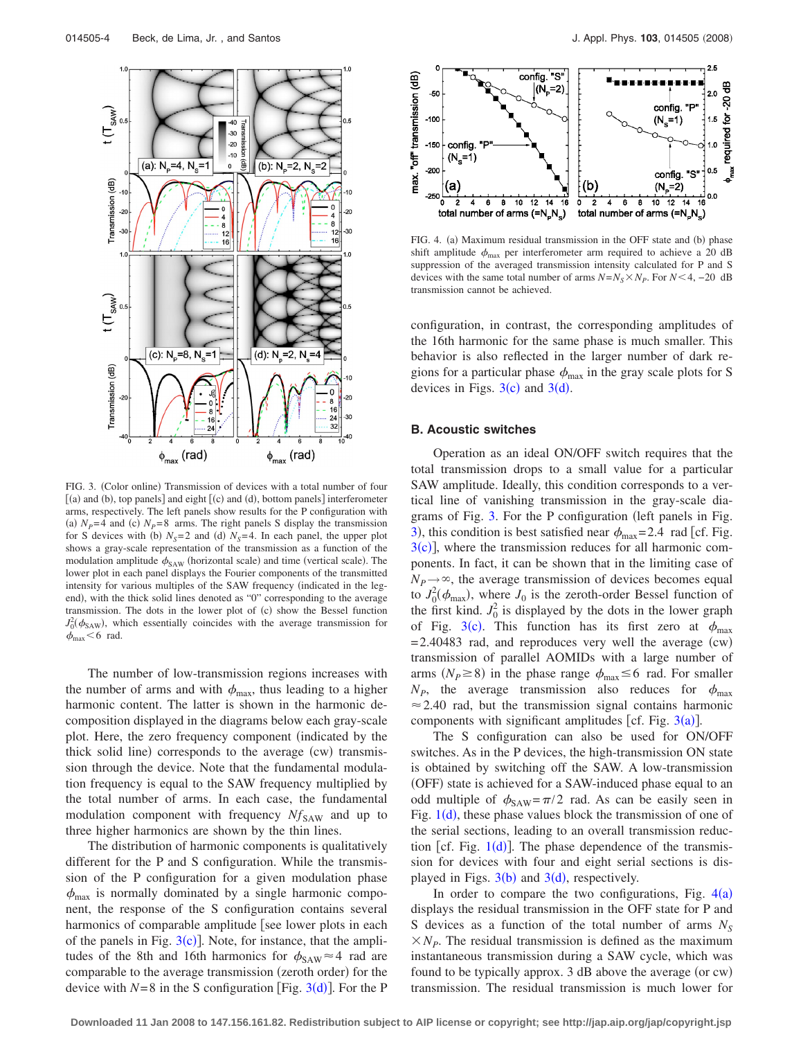<span id="page-3-0"></span>

FIG. 3. (Color online) Transmission of devices with a total number of four  $[(a)$  and  $(b)$ , top panels] and eight  $[(c)$  and  $(d)$ , bottom panels] interferometer arms, respectively. The left panels show results for the P configuration with (a)  $N_p=4$  and (c)  $N_p=8$  arms. The right panels S display the transmission for S devices with (b)  $N<sub>S</sub>=2$  and (d)  $N<sub>S</sub>=4$ . In each panel, the upper plot shows a gray-scale representation of the transmission as a function of the modulation amplitude  $\phi_{SAW}$  (horizontal scale) and time (vertical scale). The lower plot in each panel displays the Fourier components of the transmitted intensity for various multiples of the SAW frequency (indicated in the legend), with the thick solid lines denoted as "0" corresponding to the average transmission. The dots in the lower plot of (c) show the Bessel function  $J_0^2(\phi_{SAW})$ , which essentially coincides with the average transmission for  $\phi_{\text{max}}$  < 6 rad.

The number of low-transmission regions increases with the number of arms and with  $\phi_{\text{max}}$ , thus leading to a higher harmonic content. The latter is shown in the harmonic decomposition displayed in the diagrams below each gray-scale plot. Here, the zero frequency component (indicated by the thick solid line) corresponds to the average (cw) transmission through the device. Note that the fundamental modulation frequency is equal to the SAW frequency multiplied by the total number of arms. In each case, the fundamental modulation component with frequency  $Nf_{SAW}$  and up to three higher harmonics are shown by the thin lines.

The distribution of harmonic components is qualitatively different for the P and S configuration. While the transmission of the P configuration for a given modulation phase  $\phi_{\text{max}}$  is normally dominated by a single harmonic component, the response of the S configuration contains several harmonics of comparable amplitude [see lower plots in each of the panels in Fig.  $3(c)$  $3(c)$ ]. Note, for instance, that the amplitudes of the 8th and 16th harmonics for  $\phi_{SAW} \approx 4$  rad are comparable to the average transmission (zeroth order) for the device with  $N=8$  in the S configuration [Fig. [3](#page-3-0)(d)]. For the P

<span id="page-3-1"></span>

FIG. 4. (a) Maximum residual transmission in the OFF state and (b) phase shift amplitude  $\phi_{\text{max}}$  per interferometer arm required to achieve a 20 dB suppression of the averaged transmission intensity calculated for P and S devices with the same total number of arms  $N=N_S \times N_P$ . For  $N < 4$ , -20 dB transmission cannot be achieved.

configuration, in contrast, the corresponding amplitudes of the 16th harmonic for the same phase is much smaller. This behavior is also reflected in the larger number of dark regions for a particular phase  $\phi_{\text{max}}$  in the gray scale plots for S devices in Figs.  $3(c)$  $3(c)$  and  $3(d)$ .

## **B. Acoustic switches**

Operation as an ideal ON/OFF switch requires that the total transmission drops to a small value for a particular SAW amplitude. Ideally, this condition corresponds to a vertical line of vanishing transmission in the gray-scale dia-grams of Fig. [3.](#page-3-0) For the P configuration (left panels in Fig. [3](#page-3-0)), this condition is best satisfied near  $\phi_{\text{max}}$  = 2.4 rad [cf. Fig.  $3(c)$  $3(c)$ , where the transmission reduces for all harmonic components. In fact, it can be shown that in the limiting case of  $N_P \rightarrow \infty$ , the average transmission of devices becomes equal to  $J_0^2(\phi_{\text{max}})$ , where  $J_0$  is the zeroth-order Bessel function of the first kind.  $J_0^2$  is displayed by the dots in the lower graph of Fig. [3](#page-3-0)(c). This function has its first zero at  $\phi_{\text{max}}$  $=2.40483$  rad, and reproduces very well the average (cw) transmission of parallel AOMIDs with a large number of arms  $(N_P \ge 8)$  in the phase range  $\phi_{\text{max}} \le 6$  rad. For smaller  $N_P$ , the average transmission also reduces for  $\phi_{\text{max}}$  $\approx$  2.40 rad, but the transmission signal contains harmonic components with significant amplitudes [cf. Fig.  $3(a)$  $3(a)$ ].

The S configuration can also be used for ON/OFF switches. As in the P devices, the high-transmission ON state is obtained by switching off the SAW. A low-transmission (OFF) state is achieved for a SAW-induced phase equal to an odd multiple of  $\phi_{SAW} = \pi/2$  rad. As can be easily seen in Fig.  $1(d)$  $1(d)$ , these phase values block the transmission of one of the serial sections, leading to an overall transmission reduction [cf. Fig.  $1(d)$  $1(d)$ ]. The phase dependence of the transmission for devices with four and eight serial sections is displayed in Figs.  $3(b)$  $3(b)$  and  $3(d)$ , respectively.

In order to compare the two configurations, Fig.  $4(a)$  $4(a)$ displays the residual transmission in the OFF state for P and S devices as a function of the total number of arms  $N_S$  $X_{\mathcal{N}_P}$ . The residual transmission is defined as the maximum instantaneous transmission during a SAW cycle, which was found to be typically approx. 3 dB above the average (or cw) transmission. The residual transmission is much lower for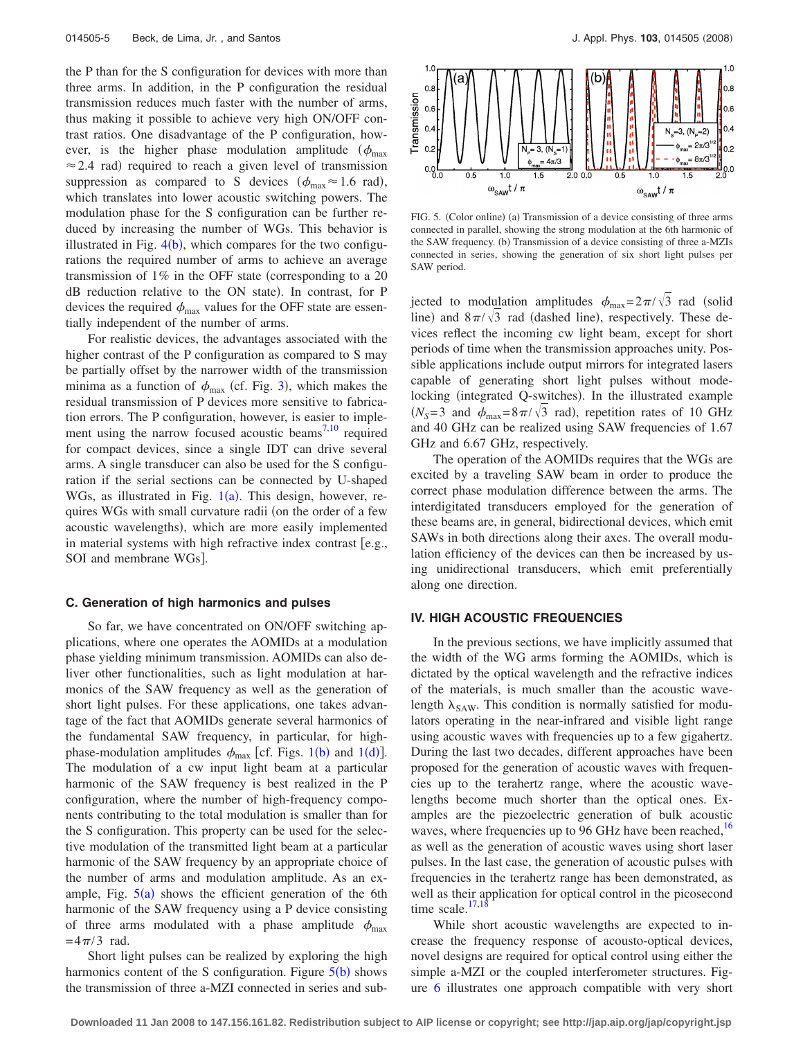the P than for the S configuration for devices with more than three arms. In addition, in the P configuration the residual transmission reduces much faster with the number of arms, thus making it possible to achieve very high ON/OFF contrast ratios. One disadvantage of the P configuration, however, is the higher phase modulation amplitude ( $\phi_{\text{max}}$ )  $\approx$  2.4 rad) required to reach a given level of transmission suppression as compared to S devices ( $\phi_{\text{max}} \approx 1.6$  rad), which translates into lower acoustic switching powers. The modulation phase for the S configuration can be further reduced by increasing the number of WGs. This behavior is illustrated in Fig.  $4(b)$  $4(b)$ , which compares for the two configurations the required number of arms to achieve an average transmission of  $1\%$  in the OFF state (corresponding to a 20) dB reduction relative to the ON state). In contrast, for P devices the required  $\phi_{\text{max}}$  values for the OFF state are essentially independent of the number of arms.

For realistic devices, the advantages associated with the higher contrast of the P configuration as compared to S may be partially offset by the narrower width of the transmission minima as a function of  $\phi_{\text{max}}$  (cf. Fig. [3](#page-3-0)), which makes the residual transmission of P devices more sensitive to fabrication errors. The P configuration, however, is easier to imple-ment using the narrow focused acoustic beams<sup>7[,10](#page-5-7)</sup> required for compact devices, since a single IDT can drive several arms. A single transducer can also be used for the S configuration if the serial sections can be connected by U-shaped WGs, as illustrated in Fig.  $1(a)$  $1(a)$ . This design, however, requires WGs with small curvature radii (on the order of a few acoustic wavelengths), which are more easily implemented in material systems with high refractive index contrast  $[e.g.,]$ SOI and membrane WGs].

#### **C. Generation of high harmonics and pulses**

So far, we have concentrated on ON/OFF switching applications, where one operates the AOMIDs at a modulation phase yielding minimum transmission. AOMIDs can also deliver other functionalities, such as light modulation at harmonics of the SAW frequency as well as the generation of short light pulses. For these applications, one takes advantage of the fact that AOMIDs generate several harmonics of the fundamental SAW frequency, in particular, for highphase-modulation amplitudes  $\phi_{\text{max}}$  [cf. Figs. [1](#page-0-1)(b) and 1(d)]. The modulation of a cw input light beam at a particular harmonic of the SAW frequency is best realized in the P configuration, where the number of high-frequency components contributing to the total modulation is smaller than for the S configuration. This property can be used for the selective modulation of the transmitted light beam at a particular harmonic of the SAW frequency by an appropriate choice of the number of arms and modulation amplitude. As an example, Fig.  $5(a)$  $5(a)$  shows the efficient generation of the 6th harmonic of the SAW frequency using a P device consisting of three arms modulated with a phase amplitude  $\phi_{\text{max}}$  $=4\pi/3$  rad.

Short light pulses can be realized by exploring the high harmonics content of the S configuration. Figure  $5(b)$  $5(b)$  $5(b)$  shows the transmission of three a-MZI connected in series and sub-

<span id="page-4-0"></span>

FIG. 5. (Color online) (a) Transmission of a device consisting of three arms connected in parallel, showing the strong modulation at the 6th harmonic of the SAW frequency. (b) Transmission of a device consisting of three a-MZIs connected in series, showing the generation of six short light pulses per SAW period.

jected to modulation amplitudes  $\phi_{\text{max}}=2\pi/\sqrt{3}$  rad (solid line) and  $8\pi/\sqrt{3}$  rad (dashed line), respectively. These devices reflect the incoming cw light beam, except for short periods of time when the transmission approaches unity. Possible applications include output mirrors for integrated lasers capable of generating short light pulses without modelocking (integrated Q-switches). In the illustrated example  $(N_s=3$  and  $\phi_{\text{max}}=8\pi/\sqrt{3}$  rad), repetition rates of 10 GHz and 40 GHz can be realized using SAW frequencies of 1.67 GHz and 6.67 GHz, respectively.

The operation of the AOMIDs requires that the WGs are excited by a traveling SAW beam in order to produce the correct phase modulation difference between the arms. The interdigitated transducers employed for the generation of these beams are, in general, bidirectional devices, which emit SAWs in both directions along their axes. The overall modulation efficiency of the devices can then be increased by using unidirectional transducers, which emit preferentially along one direction.

## **IV. HIGH ACOUSTIC FREQUENCIES**

In the previous sections, we have implicitly assumed that the width of the WG arms forming the AOMIDs, which is dictated by the optical wavelength and the refractive indices of the materials, is much smaller than the acoustic wavelength  $\lambda_{SAW}$ . This condition is normally satisfied for modulators operating in the near-infrared and visible light range using acoustic waves with frequencies up to a few gigahertz. During the last two decades, different approaches have been proposed for the generation of acoustic waves with frequencies up to the terahertz range, where the acoustic wavelengths become much shorter than the optical ones. Examples are the piezoelectric generation of bulk acoustic waves, where frequencies up to 96 GHz have been reached,<sup>16</sup> as well as the generation of acoustic waves using short laser pulses. In the last case, the generation of acoustic pulses with frequencies in the terahertz range has been demonstrated, as well as their application for optical control in the picosecond time scale. $17,18$  $17,18$ 

While short acoustic wavelengths are expected to increase the frequency response of acousto-optical devices, novel designs are required for optical control using either the simple a-MZI or the coupled interferometer structures. Figure [6](#page-5-8) illustrates one approach compatible with very short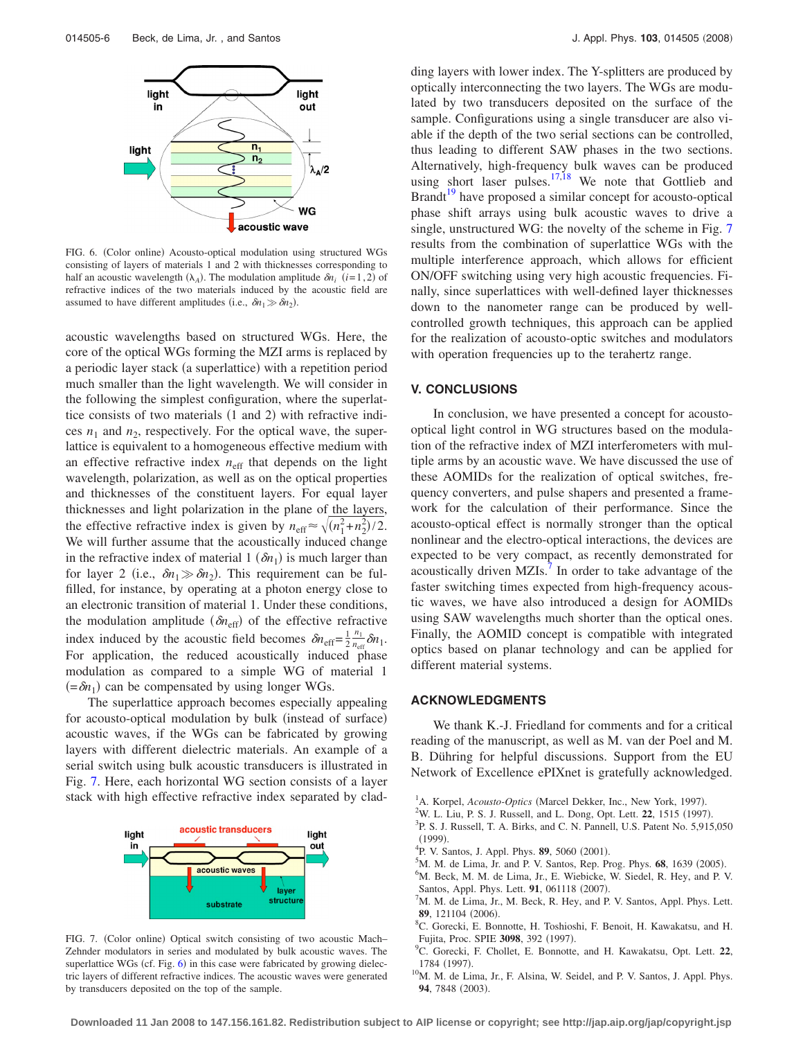<span id="page-5-8"></span>

FIG. 6. (Color online) Acousto-optical modulation using structured WGs consisting of layers of materials 1 and 2 with thicknesses corresponding to half an acoustic wavelength  $(\lambda_A)$ . The modulation amplitude  $\delta n_i$  (*i*=1,2) of refractive indices of the two materials induced by the acoustic field are assumed to have different amplitudes (i.e.,  $\delta n_1 \gg \delta n_2$ ).

acoustic wavelengths based on structured WGs. Here, the core of the optical WGs forming the MZI arms is replaced by a periodic layer stack (a superlattice) with a repetition period much smaller than the light wavelength. We will consider in the following the simplest configuration, where the superlattice consists of two materials (1 and 2) with refractive indices  $n_1$  and  $n_2$ , respectively. For the optical wave, the superlattice is equivalent to a homogeneous effective medium with an effective refractive index  $n_{\text{eff}}$  that depends on the light wavelength, polarization, as well as on the optical properties and thicknesses of the constituent layers. For equal layer thicknesses and light polarization in the plane of the layers, the effective refractive index is given by  $n_{\text{eff}} \approx \sqrt{(n_1^2 + n_2^2)/2}$ . We will further assume that the acoustically induced change in the refractive index of material  $1(\delta n_1)$  is much larger than for layer 2 (i.e.,  $\delta n_1 \gg \delta n_2$ ). This requirement can be fulfilled, for instance, by operating at a photon energy close to an electronic transition of material 1. Under these conditions, the modulation amplitude  $(\delta n_{\text{eff}})$  of the effective refractive index induced by the acoustic field becomes  $\delta n_{\text{eff}} = \frac{1}{2}$  $\frac{n_1}{n_{\text{eff}}} \delta n_1.$ For application, the reduced acoustically induced phase modulation as compared to a simple WG of material 1  $(=\delta n_1)$  can be compensated by using longer WGs.

The superlattice approach becomes especially appealing for acousto-optical modulation by bulk (instead of surface) acoustic waves, if the WGs can be fabricated by growing layers with different dielectric materials. An example of a serial switch using bulk acoustic transducers is illustrated in Fig. [7.](#page-5-9) Here, each horizontal WG section consists of a layer stack with high effective refractive index separated by clad-

<span id="page-5-9"></span>

FIG. 7. (Color online) Optical switch consisting of two acoustic Mach-Zehnder modulators in series and modulated by bulk acoustic waves. The superlattice WGs (cf. Fig. [6](#page-5-8)) in this case were fabricated by growing dielectric layers of different refractive indices. The acoustic waves were generated by transducers deposited on the top of the sample.

ding layers with lower index. The Y-splitters are produced by optically interconnecting the two layers. The WGs are modulated by two transducers deposited on the surface of the sample. Configurations using a single transducer are also viable if the depth of the two serial sections can be controlled, thus leading to different SAW phases in the two sections. Alternatively, high-frequency bulk waves can be produced using short laser pulses.<sup>17,[18](#page-6-7)</sup> We note that Gottlieb and Brandt<sup>19</sup> have proposed a similar concept for acousto-optical phase shift arrays using bulk acoustic waves to drive a single, unstructured WG: the novelty of the scheme in Fig. [7](#page-5-9) results from the combination of superlattice WGs with the multiple interference approach, which allows for efficient ON/OFF switching using very high acoustic frequencies. Finally, since superlattices with well-defined layer thicknesses down to the nanometer range can be produced by wellcontrolled growth techniques, this approach can be applied for the realization of acousto-optic switches and modulators with operation frequencies up to the terahertz range.

## **V. CONCLUSIONS**

In conclusion, we have presented a concept for acoustooptical light control in WG structures based on the modulation of the refractive index of MZI interferometers with multiple arms by an acoustic wave. We have discussed the use of these AOMIDs for the realization of optical switches, frequency converters, and pulse shapers and presented a framework for the calculation of their performance. Since the acousto-optical effect is normally stronger than the optical nonlinear and the electro-optical interactions, the devices are expected to be very compact, as recently demonstrated for acoustically driven MZIs.<sup>7</sup> In order to take advantage of the faster switching times expected from high-frequency acoustic waves, we have also introduced a design for AOMIDs using SAW wavelengths much shorter than the optical ones. Finally, the AOMID concept is compatible with integrated optics based on planar technology and can be applied for different material systems.

#### **ACKNOWLEDGMENTS**

We thank K.-J. Friedland for comments and for a critical reading of the manuscript, as well as M. van der Poel and M. B. Dühring for helpful discussions. Support from the EU Network of Excellence ePIXnet is gratefully acknowledged.

- <span id="page-5-0"></span><sup>1</sup>A. Korpel, *Acousto-Optics* (Marcel Dekker, Inc., New York, 1997).<br><sup>2</sup>W. L. Liu, P. S. J. Pussell, and L. Dong. Ont. Lett. **22**, 1515 (1007)
- <span id="page-5-1"></span><sup>2</sup>W. L. Liu, P. S. J. Russell, and L. Dong, Opt. Lett. **22**, 1515 (1997).
- <sup>3</sup>P. S. J. Russell, T. A. Birks, and C. N. Pannell, U.S. Patent No. 5,915,050  $(1999)$ . (1999).<br><sup>4</sup>P. V. Santos, J. Appl. Phys. **89**, 5060 (2001).<br><sup>5</sup>M. M. da Lime, Jr. and B. V. Santos, Bon. B.
- 
- <span id="page-5-2"></span> $^{5}$ M. M. de Lima, Jr. and P. V. Santos, Rep. Prog. Phys. **68**, 1639 (2005).
- <span id="page-5-3"></span> ${}^{6}$ M. Beck, M. M. de Lima, Jr., E. Wiebicke, W. Siedel, R. Hey, and P. V. Santos, Appl. Phys. Lett. **91**, 061118  $(2007)$ .
- <span id="page-5-4"></span>M. M. de Lima, Jr., M. Beck, R. Hey, and P. V. Santos, Appl. Phys. Lett. **89**, 121104 (2006).
- <span id="page-5-5"></span>C. Gorecki, E. Bonnotte, H. Toshioshi, F. Benoit, H. Kawakatsu, and H. Fujita, Proc. SPIE **3098**, 392 (1997).
- <span id="page-5-6"></span>C. Gorecki, F. Chollet, E. Bonnotte, and H. Kawakatsu, Opt. Lett. **22**, 1784 (1997).
- <span id="page-5-7"></span> $^{10}$ M. M. de Lima, Jr., F. Alsina, W. Seidel, and P. V. Santos, J. Appl. Phys. 94, 7848 (2003).